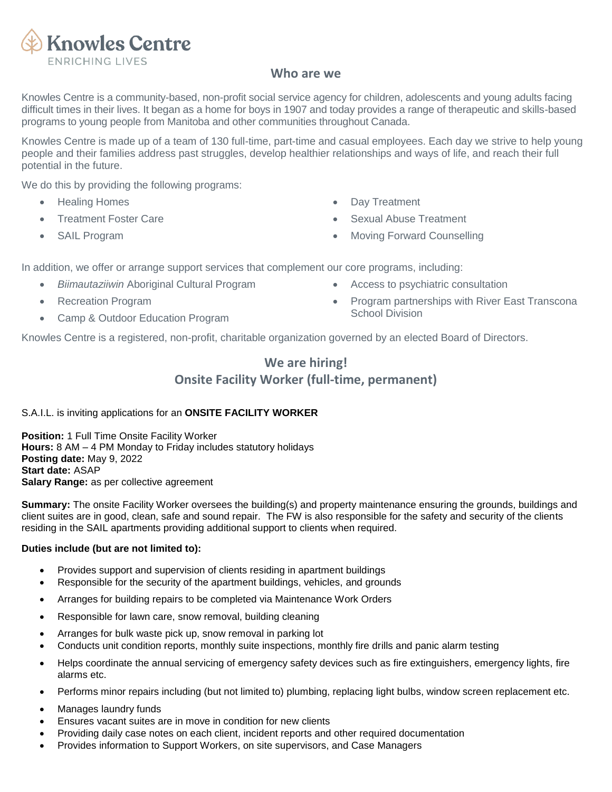

## **Who are we**

Knowles Centre is a community-based, non-profit social service agency for children, adolescents and young adults facing difficult times in their lives. It began as a home for boys in 1907 and today provides a range of therapeutic and skills-based programs to young people from Manitoba and other communities throughout Canada.

Knowles Centre is made up of a team of 130 full-time, part-time and casual employees. Each day we strive to help young people and their families address past struggles, develop healthier relationships and ways of life, and reach their full potential in the future.

We do this by providing the following programs:

- Healing Homes
- Treatment Foster Care
- SAIL Program
- **Day Treatment**
- **Sexual Abuse Treatment**
- **Moving Forward Counselling**

In addition, we offer or arrange support services that complement our core programs, including:

- *Biimautaziiwin* Aboriginal Cultural Program
- Recreation Program
- Camp & Outdoor Education Program
- Access to psychiatric consultation
- Program partnerships with River East Transcona School Division

Knowles Centre is a registered, non-profit, charitable organization governed by an elected Board of Directors.

# **We are hiring! Onsite Facility Worker (full-time, permanent)**

### S.A.I.L. is inviting applications for an **ONSITE FACILITY WORKER**

**Position:** 1 Full Time Onsite Facility Worker **Hours:** 8 AM – 4 PM Monday to Friday includes statutory holidays **Posting date:** May 9, 2022 **Start date:** ASAP **Salary Range:** as per collective agreement

**Summary:** The onsite Facility Worker oversees the building(s) and property maintenance ensuring the grounds, buildings and client suites are in good, clean, safe and sound repair. The FW is also responsible for the safety and security of the clients residing in the SAIL apartments providing additional support to clients when required.

### **Duties include (but are not limited to):**

- Provides support and supervision of clients residing in apartment buildings
- Responsible for the security of the apartment buildings, vehicles, and grounds
- Arranges for building repairs to be completed via Maintenance Work Orders
- Responsible for lawn care, snow removal, building cleaning
- Arranges for bulk waste pick up, snow removal in parking lot
- Conducts unit condition reports, monthly suite inspections, monthly fire drills and panic alarm testing
- Helps coordinate the annual servicing of emergency safety devices such as fire extinguishers, emergency lights, fire alarms etc.
- Performs minor repairs including (but not limited to) plumbing, replacing light bulbs, window screen replacement etc.
- Manages laundry funds
- Ensures vacant suites are in move in condition for new clients
- Providing daily case notes on each client, incident reports and other required documentation
- Provides information to Support Workers, on site supervisors, and Case Managers